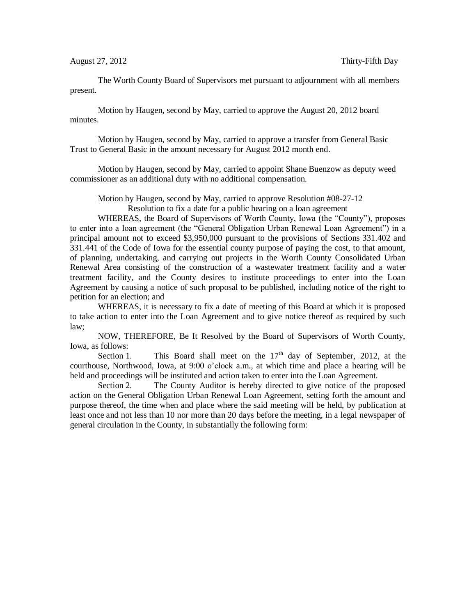The Worth County Board of Supervisors met pursuant to adjournment with all members present.

Motion by Haugen, second by May, carried to approve the August 20, 2012 board minutes.

Motion by Haugen, second by May, carried to approve a transfer from General Basic Trust to General Basic in the amount necessary for August 2012 month end.

Motion by Haugen, second by May, carried to appoint Shane Buenzow as deputy weed commissioner as an additional duty with no additional compensation.

Motion by Haugen, second by May, carried to approve Resolution #08-27-12

Resolution to fix a date for a public hearing on a loan agreement

WHEREAS, the Board of Supervisors of Worth County, Iowa (the "County"), proposes to enter into a loan agreement (the "General Obligation Urban Renewal Loan Agreement") in a principal amount not to exceed \$3,950,000 pursuant to the provisions of Sections 331.402 and 331.441 of the Code of Iowa for the essential county purpose of paying the cost, to that amount, of planning, undertaking, and carrying out projects in the Worth County Consolidated Urban Renewal Area consisting of the construction of a wastewater treatment facility and a water treatment facility, and the County desires to institute proceedings to enter into the Loan Agreement by causing a notice of such proposal to be published, including notice of the right to petition for an election; and

WHEREAS, it is necessary to fix a date of meeting of this Board at which it is proposed to take action to enter into the Loan Agreement and to give notice thereof as required by such law;

NOW, THEREFORE, Be It Resolved by the Board of Supervisors of Worth County, Iowa, as follows:

Section 1. This Board shall meet on the  $17<sup>th</sup>$  day of September, 2012, at the courthouse, Northwood, Iowa, at 9:00 o'clock a.m., at which time and place a hearing will be held and proceedings will be instituted and action taken to enter into the Loan Agreement.

Section 2. The County Auditor is hereby directed to give notice of the proposed action on the General Obligation Urban Renewal Loan Agreement, setting forth the amount and purpose thereof, the time when and place where the said meeting will be held, by publication at least once and not less than 10 nor more than 20 days before the meeting, in a legal newspaper of general circulation in the County, in substantially the following form: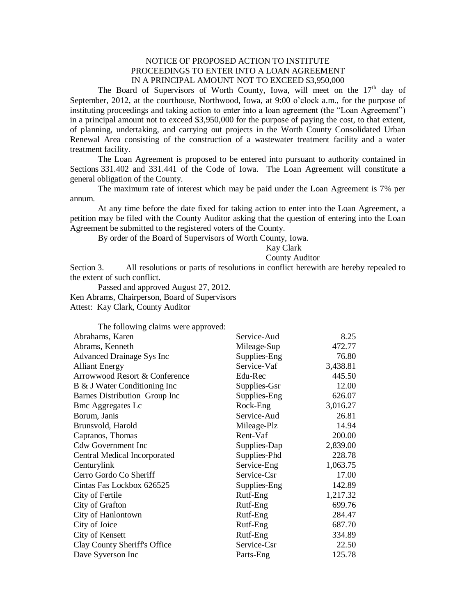## NOTICE OF PROPOSED ACTION TO INSTITUTE PROCEEDINGS TO ENTER INTO A LOAN AGREEMENT IN A PRINCIPAL AMOUNT NOT TO EXCEED \$3,950,000

The Board of Supervisors of Worth County, Iowa, will meet on the 17<sup>th</sup> day of September, 2012, at the courthouse, Northwood, Iowa, at 9:00 o'clock a.m., for the purpose of instituting proceedings and taking action to enter into a loan agreement (the "Loan Agreement") in a principal amount not to exceed \$3,950,000 for the purpose of paying the cost, to that extent, of planning, undertaking, and carrying out projects in the Worth County Consolidated Urban Renewal Area consisting of the construction of a wastewater treatment facility and a water treatment facility.

The Loan Agreement is proposed to be entered into pursuant to authority contained in Sections 331.402 and 331.441 of the Code of Iowa. The Loan Agreement will constitute a general obligation of the County.

The maximum rate of interest which may be paid under the Loan Agreement is 7% per annum.

At any time before the date fixed for taking action to enter into the Loan Agreement, a petition may be filed with the County Auditor asking that the question of entering into the Loan Agreement be submitted to the registered voters of the County.

By order of the Board of Supervisors of Worth County, Iowa.

## Kay Clark

## County Auditor

Section 3. All resolutions or parts of resolutions in conflict herewith are hereby repealed to the extent of such conflict.

Passed and approved August 27, 2012. Ken Abrams, Chairperson, Board of Supervisors Attest: Kay Clark, County Auditor

The following claims were approved: Abrahams, Karen Service-Aud 8.25 Abrams, Kenneth Mileage-Sup 472.77 Advanced Drainage Sys Inc Supplies-Eng 76.80 Alliant Energy Service-Vaf 3,438.81 Arrowwood Resort & Conference Edu-Rec 445.50 B & J Water Conditioning Inc Supplies-Gsr 12.00 Barnes Distribution Group Inc Supplies-Eng 626.07 Bmc Aggregates Lc Rock-Eng 3,016.27 Borum, Janis Service-Aud 26.81 Brunsvold, Harold Mileage-Plz 14.94 Capranos, Thomas Rent-Vaf 200.00 Cdw Government Inc Supplies-Dap 2,839.00 Central Medical Incorporated Supplies-Phd 228.78 Centurylink Service-Eng 1,063.75 Cerro Gordo Co Sheriff Service-Csr 17.00 Cintas Fas Lockbox 626525 Supplies-Eng 142.89 City of Fertile Rutf-Eng 1,217.32 City of Grafton **Rutf-Eng** 699.76 City of Hanlontown Rutf-Eng 284.47 City of Joice **Rutf-Eng** 687.70 City of Kensett Rutf-Eng 334.89 Clay County Sheriff's Office Service-Csr 22.50 Dave Syverson Inc **Parts-Eng** 25.78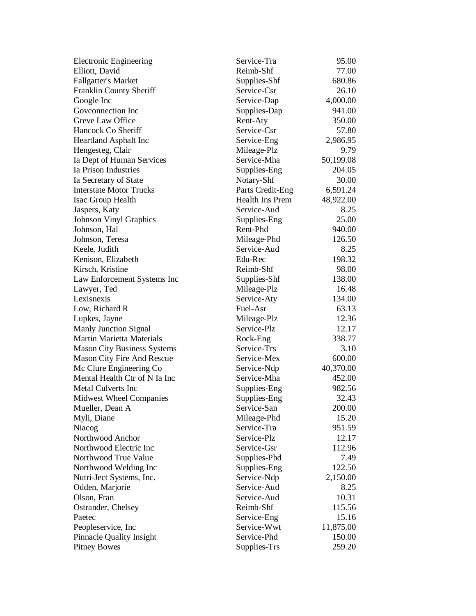| <b>Electronic Engineering</b>      | Service-Tra      | 95.00     |
|------------------------------------|------------------|-----------|
| Elliott, David                     | Reimb-Shf        | 77.00     |
| <b>Fallgatter's Market</b>         | Supplies-Shf     | 680.86    |
| Franklin County Sheriff            | Service-Csr      | 26.10     |
| Google Inc                         | Service-Dap      | 4,000.00  |
| Goveonnection Inc                  | Supplies-Dap     | 941.00    |
| Greve Law Office                   | Rent-Aty         | 350.00    |
| Hancock Co Sheriff                 | Service-Csr      | 57.80     |
| <b>Heartland Asphalt Inc</b>       | Service-Eng      | 2,986.95  |
| Hengesteg, Clair                   | Mileage-Plz      | 9.79      |
| Ia Dept of Human Services          | Service-Mha      | 50,199.08 |
| Ia Prison Industries               | Supplies-Eng     | 204.05    |
| Ia Secretary of State              | Notary-Shf       | 30.00     |
| <b>Interstate Motor Trucks</b>     | Parts Credit-Eng | 6,591.24  |
| Isac Group Health                  | Health Ins Prem  | 48,922.00 |
| Jaspers, Katy                      | Service-Aud      | 8.25      |
| <b>Johnson Vinyl Graphics</b>      | Supplies-Eng     | 25.00     |
| Johnson, Hal                       | Rent-Phd         | 940.00    |
| Johnson, Teresa                    | Mileage-Phd      | 126.50    |
| Keele, Judith                      | Service-Aud      | 8.25      |
| Kenison, Elizabeth                 | Edu-Rec          | 198.32    |
| Kirsch, Kristine                   | Reimb-Shf        | 98.00     |
| Law Enforcement Systems Inc        | Supplies-Shf     | 138.00    |
| Lawyer, Ted                        | Mileage-Plz      | 16.48     |
| Lexisnexis                         | Service-Aty      | 134.00    |
| Low, Richard R                     | Fuel-Asr         | 63.13     |
| Lupkes, Jayne                      | Mileage-Plz      | 12.36     |
| Manly Junction Signal              | Service-Plz      | 12.17     |
| <b>Martin Marietta Materials</b>   | Rock-Eng         | 338.77    |
| <b>Mason City Business Systems</b> | Service-Trs      | 3.10      |
| <b>Mason City Fire And Rescue</b>  | Service-Mex      | 600.00    |
| Mc Clure Engineering Co            | Service-Ndp      | 40,370.00 |
| Mental Health Ctr of N Ia Inc      | Service-Mha      | 452.00    |
| <b>Metal Culverts Inc</b>          | Supplies-Eng     | 982.56    |
| <b>Midwest Wheel Companies</b>     | Supplies-Eng     | 32.43     |
| Mueller, Dean A                    | Service-San      | 200.00    |
| Myli, Diane                        | Mileage-Phd      | 15.20     |
| Niacog                             | Service-Tra      | 951.59    |
| Northwood Anchor                   | Service-Plz      | 12.17     |
| Northwood Electric Inc             | Service-Gsr      | 112.96    |
| Northwood True Value               | Supplies-Phd     | 7.49      |
| Northwood Welding Inc              | Supplies-Eng     | 122.50    |
| Nutri-Ject Systems, Inc.           | Service-Ndp      | 2,150.00  |
| Odden, Marjorie                    | Service-Aud      | 8.25      |
| Olson, Fran                        | Service-Aud      | 10.31     |
| Ostrander, Chelsey                 | Reimb-Shf        | 115.56    |
| Paetec                             | Service-Eng      | 15.16     |
| Peopleservice, Inc                 | Service-Wwt      | 11,875.00 |
| Pinnacle Quality Insight           | Service-Phd      | 150.00    |
| <b>Pitney Bowes</b>                | Supplies-Trs     | 259.20    |